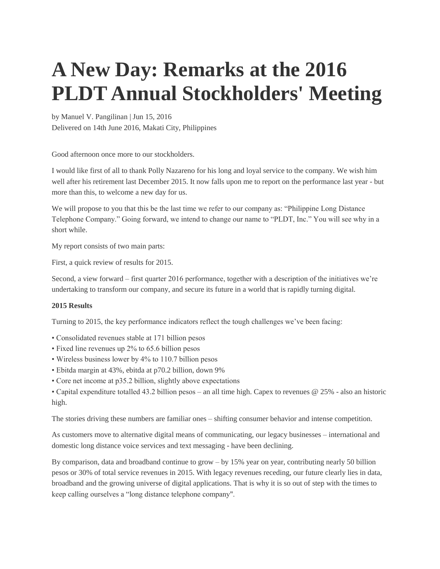# **A New Day: Remarks at the 2016 PLDT Annual Stockholders' Meeting**

by Manuel V. Pangilinan | Jun 15, 2016 Delivered on 14th June 2016, Makati City, Philippines

Good afternoon once more to our stockholders.

I would like first of all to thank Polly Nazareno for his long and loyal service to the company. We wish him well after his retirement last December 2015. It now falls upon me to report on the performance last year - but more than this, to welcome a new day for us.

We will propose to you that this be the last time we refer to our company as: "Philippine Long Distance Telephone Company." Going forward, we intend to change our name to "PLDT, Inc." You will see why in a short while.

My report consists of two main parts:

First, a quick review of results for 2015.

Second, a view forward – first quarter 2016 performance, together with a description of the initiatives we're undertaking to transform our company, and secure its future in a world that is rapidly turning digital.

# **2015 Results**

Turning to 2015, the key performance indicators reflect the tough challenges we've been facing:

- Consolidated revenues stable at 171 billion pesos
- Fixed line revenues up 2% to 65.6 billion pesos
- Wireless business lower by 4% to 110.7 billion pesos
- Ebitda margin at 43%, ebitda at p70.2 billion, down 9%
- Core net income at p35.2 billion, slightly above expectations

• Capital expenditure totalled 43.2 billion pesos – an all time high. Capex to revenues @ 25% - also an historic high.

The stories driving these numbers are familiar ones – shifting consumer behavior and intense competition.

As customers move to alternative digital means of communicating, our legacy businesses – international and domestic long distance voice services and text messaging - have been declining.

By comparison, data and broadband continue to grow – by 15% year on year, contributing nearly 50 billion pesos or 30% of total service revenues in 2015. With legacy revenues receding, our future clearly lies in data, broadband and the growing universe of digital applications. That is why it is so out of step with the times to keep calling ourselves a "long distance telephone company".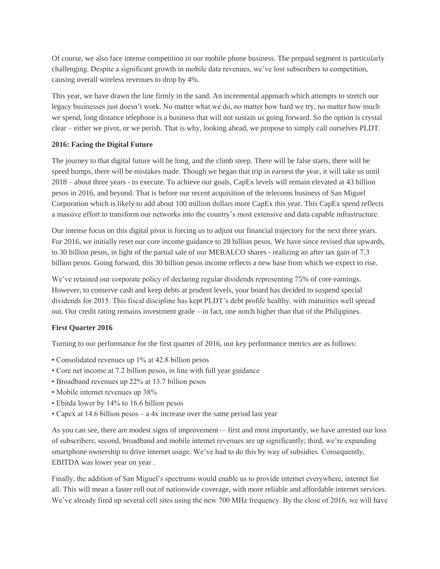Of course, we also face intense competition in our mobile phone business. The prepaid segment is particularly challenging. Despite a significant growth in mobile data revenues, we've lost subscribers to competition, causing overall wireless revenues to drop by 4%.

This year, we have drawn the line firmly in the sand. An incremental approach which attempts to stretch our legacy businesses just doesn't work. No matter what we do, no matter how hard we try, no matter how much we spend, long distance telephone is a business that will not sustain us going forward. So the option is crystal clear – either we pivot, or we perish. That is why, looking ahead, we propose to simply call ourselves PLDT.

## **2016: Facing the Digital Future**

The journey to that digital future will be long, and the climb steep. There will be false starts, there will be speed bumps, there will be mistakes made. Though we began that trip in earnest the year, it will take us until 2018 – about three years - to execute. To achieve our goals, CapEx levels will remain elevated at 43 billion pesos in 2016, and beyond. That is before our recent acquisition of the telecoms business of San Miguel Corporation which is likely to add about 100 million dollars more CapEx this year. This CapEx spend reflects a massive effort to transform our networks into the country's most extensive and data capable infrastructure.

Our intense focus on this digital pivot is forcing us to adjust our financial trajectory for the next three years. For 2016, we initially reset our core income guidance to 28 billion pesos. We have since revised that upwards, to 30 billion pesos, in light of the partial sale of our MERALCO shares - realizing an after tax gain of 7.3 billion pesos. Going forward, this 30 billion pesos income reflects a new base from which we expect to rise.

We've retained our corporate policy of declaring regular dividends representing 75% of core earnings. However, to conserve cash and keep debts at prudent levels, your board has decided to suspend special dividends for 2015. This fiscal discipline has kept PLDT's debt profile healthy, with maturities well spread out. Our credit rating remains investment grade – in fact, one notch higher than that of the Philippines.

#### **First Quarter 2016**

Turning to our performance for the first quarter of 2016, our key performance metrics are as follows:

- Consolidated revenues up 1% at 42.8 billion pesos
- Core net income at 7.2 billion pesos, in line with full year guidance
- Broadband revenues up 22% at 13.7 billion pesos
- Mobile internet revenues up 38%
- Ebitda lower by 14% to 16.6 billion pesos
- Capex at 14.6 billion pesos a 4x increase over the same period last year

As you can see, there are modest signs of improvement— first and most importantly, we have arrested our loss of subscribers; second, broadband and mobile internet revenues are up significantly; third, we're expanding smartphone ownership to drive internet usage. We've had to do this by way of subsidies. Consequently, EBITDA was lower year on year.

Finally, the addition of San Miguel's spectrums would enable us to provide internet everywhere, internet for all. This will mean a faster roll out of nationwide coverage, with more reliable and affordable internet services. We've already fired up several cell sites using the new 700 MHz frequency. By the close of 2016, we will have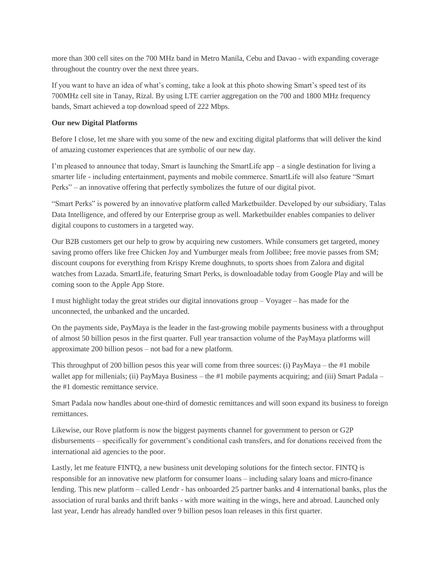more than 300 cell sites on the 700 MHz band in Metro Manila, Cebu and Davao - with expanding coverage throughout the country over the next three years.

If you want to have an idea of what's coming, take a look at this photo showing Smart's speed test of its 700MHz cell site in Tanay, Rizal. By using LTE carrier aggregation on the 700 and 1800 MHz frequency bands, Smart achieved a top download speed of 222 Mbps.

### **Our new Digital Platforms**

Before I close, let me share with you some of the new and exciting digital platforms that will deliver the kind of amazing customer experiences that are symbolic of our new day.

I'm pleased to announce that today, Smart is launching the SmartLife app – a single destination for living a smarter life - including entertainment, payments and mobile commerce. SmartLife will also feature "Smart Perks" – an innovative offering that perfectly symbolizes the future of our digital pivot.

"Smart Perks" is powered by an innovative platform called Marketbuilder. Developed by our subsidiary, Talas Data Intelligence, and offered by our Enterprise group as well. Marketbuilder enables companies to deliver digital coupons to customers in a targeted way.

Our B2B customers get our help to grow by acquiring new customers. While consumers get targeted, money saving promo offers like free Chicken Joy and Yumburger meals from Jollibee; free movie passes from SM; discount coupons for everything from Krispy Kreme doughnuts, to sports shoes from Zalora and digital watches from Lazada. SmartLife, featuring Smart Perks, is downloadable today from Google Play and will be coming soon to the Apple App Store.

I must highlight today the great strides our digital innovations group – Voyager – has made for the unconnected, the unbanked and the uncarded.

On the payments side, PayMaya is the leader in the fast-growing mobile payments business with a throughput of almost 50 billion pesos in the first quarter. Full year transaction volume of the PayMaya platforms will approximate 200 billion pesos – not bad for a new platform.

This throughput of 200 billion pesos this year will come from three sources: (i) PayMaya – the #1 mobile wallet app for millenials; (ii) PayMaya Business – the #1 mobile payments acquiring; and (iii) Smart Padala – the #1 domestic remittance service.

Smart Padala now handles about one-third of domestic remittances and will soon expand its business to foreign remittances.

Likewise, our Rove platform is now the biggest payments channel for government to person or G2P disbursements – specifically for government's conditional cash transfers, and for donations received from the international aid agencies to the poor.

Lastly, let me feature FINTQ, a new business unit developing solutions for the fintech sector. FINTQ is responsible for an innovative new platform for consumer loans – including salary loans and micro-finance lending. This new platform – called Lendr - has onboarded 25 partner banks and 4 international banks, plus the association of rural banks and thrift banks - with more waiting in the wings, here and abroad. Launched only last year, Lendr has already handled over 9 billion pesos loan releases in this first quarter.